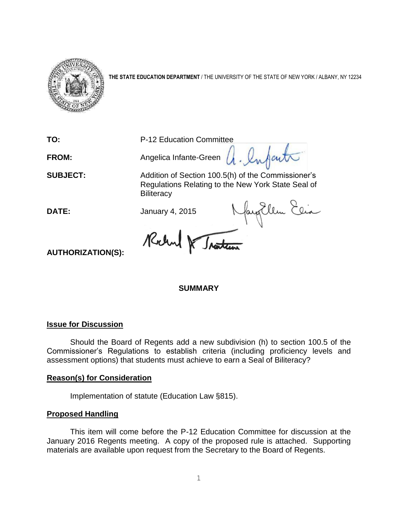

**THE STATE EDUCATION DEPARTMENT** / THE UNIVERSITY OF THE STATE OF NEW YORK / ALBANY, NY 12234

**TO:** P-12 Education Committee

FROM: Angelica Infante-Green  $\mu$ . Infanta

**SUBJECT:** Addition of Section 100.5(h) of the Commissioner's Regulations Relating to the New York State Seal of **Biliteracy** 

**DATE:** January 4, 2015

**AUTHORIZATION(S):**

## **SUMMARY**

## **Issue for Discussion**

Should the Board of Regents add a new subdivision (h) to section 100.5 of the Commissioner's Regulations to establish criteria (including proficiency levels and assessment options) that students must achieve to earn a Seal of Biliteracy?

## **Reason(s) for Consideration**

Implementation of statute (Education Law §815).

## **Proposed Handling**

This item will come before the P-12 Education Committee for discussion at the January 2016 Regents meeting. A copy of the proposed rule is attached. Supporting materials are available upon request from the Secretary to the Board of Regents.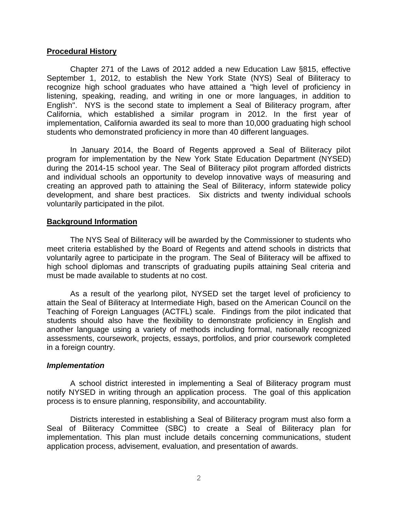#### **Procedural History**

Chapter 271 of the Laws of 2012 added a new Education Law §815, effective September 1, 2012, to establish the New York State (NYS) Seal of Biliteracy to recognize high school graduates who have attained a "high level of proficiency in listening, speaking, reading, and writing in one or more languages, in addition to English". NYS is the second state to implement a Seal of Biliteracy program, after California, which established a similar program in 2012. In the first year of implementation, California awarded its seal to more than 10,000 graduating high school students who demonstrated proficiency in more than 40 different languages.

In January 2014, the Board of Regents approved a Seal of Biliteracy pilot program for implementation by the New York State Education Department (NYSED) during the 2014-15 school year. The Seal of Biliteracy pilot program afforded districts and individual schools an opportunity to develop innovative ways of measuring and creating an approved path to attaining the Seal of Biliteracy, inform statewide policy development, and share best practices. Six districts and twenty individual schools voluntarily participated in the pilot.

#### **Background Information**

The NYS Seal of Biliteracy will be awarded by the Commissioner to students who meet criteria established by the Board of Regents and attend schools in districts that voluntarily agree to participate in the program. The Seal of Biliteracy will be affixed to high school diplomas and transcripts of graduating pupils attaining Seal criteria and must be made available to students at no cost.

As a result of the yearlong pilot, NYSED set the target level of proficiency to attain the Seal of Biliteracy at Intermediate High, based on the American Council on the Teaching of Foreign Languages (ACTFL) scale. Findings from the pilot indicated that students should also have the flexibility to demonstrate proficiency in English and another language using a variety of methods including formal, nationally recognized assessments, coursework, projects, essays, portfolios, and prior coursework completed in a foreign country.

#### *Implementation*

A school district interested in implementing a Seal of Biliteracy program must notify NYSED in writing through an application process. The goal of this application process is to ensure planning, responsibility, and accountability.

Districts interested in establishing a Seal of Biliteracy program must also form a Seal of Biliteracy Committee (SBC) to create a Seal of Biliteracy plan for implementation. This plan must include details concerning communications, student application process, advisement, evaluation, and presentation of awards.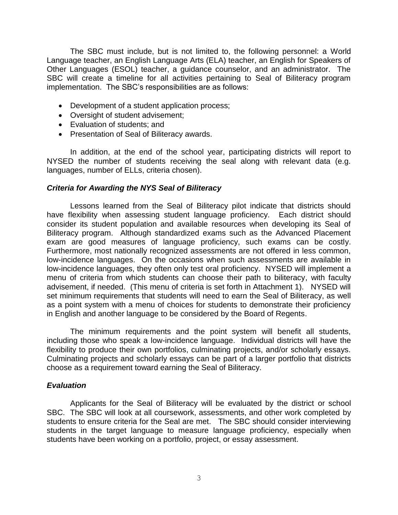The SBC must include, but is not limited to, the following personnel: a World Language teacher, an English Language Arts (ELA) teacher, an English for Speakers of Other Languages (ESOL) teacher, a guidance counselor, and an administrator. The SBC will create a timeline for all activities pertaining to Seal of Biliteracy program implementation. The SBC's responsibilities are as follows:

- Development of a student application process;
- Oversight of student advisement;
- Evaluation of students; and
- Presentation of Seal of Biliteracy awards.

In addition, at the end of the school year, participating districts will report to NYSED the number of students receiving the seal along with relevant data (e.g. languages, number of ELLs, criteria chosen).

#### *Criteria for Awarding the NYS Seal of Biliteracy*

Lessons learned from the Seal of Biliteracy pilot indicate that districts should have flexibility when assessing student language proficiency. Each district should consider its student population and available resources when developing its Seal of Biliteracy program. Although standardized exams such as the Advanced Placement exam are good measures of language proficiency, such exams can be costly. Furthermore, most nationally recognized assessments are not offered in less common, low-incidence languages. On the occasions when such assessments are available in low-incidence languages, they often only test oral proficiency. NYSED will implement a menu of criteria from which students can choose their path to biliteracy, with faculty advisement, if needed. (This menu of criteria is set forth in Attachment 1). NYSED will set minimum requirements that students will need to earn the Seal of Biliteracy, as well as a point system with a menu of choices for students to demonstrate their proficiency in English and another language to be considered by the Board of Regents.

The minimum requirements and the point system will benefit all students, including those who speak a low-incidence language. Individual districts will have the flexibility to produce their own portfolios, culminating projects, and/or scholarly essays. Culminating projects and scholarly essays can be part of a larger portfolio that districts choose as a requirement toward earning the Seal of Biliteracy.

#### *Evaluation*

Applicants for the Seal of Biliteracy will be evaluated by the district or school SBC. The SBC will look at all coursework, assessments, and other work completed by students to ensure criteria for the Seal are met. The SBC should consider interviewing students in the target language to measure language proficiency, especially when students have been working on a portfolio, project, or essay assessment.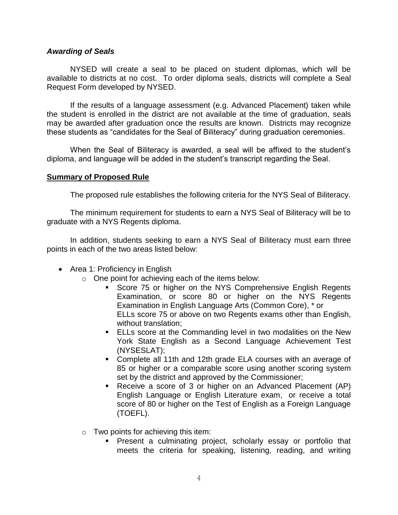#### *Awarding of Seals*

NYSED will create a seal to be placed on student diplomas, which will be available to districts at no cost. To order diploma seals, districts will complete a Seal Request Form developed by NYSED.

If the results of a language assessment (e.g. Advanced Placement) taken while the student is enrolled in the district are not available at the time of graduation, seals may be awarded after graduation once the results are known. Districts may recognize these students as "candidates for the Seal of Biliteracy" during graduation ceremonies.

When the Seal of Biliteracy is awarded, a seal will be affixed to the student's diploma, and language will be added in the student's transcript regarding the Seal.

### **Summary of Proposed Rule**

The proposed rule establishes the following criteria for the NYS Seal of Biliteracy.

The minimum requirement for students to earn a NYS Seal of Biliteracy will be to graduate with a NYS Regents diploma.

In addition, students seeking to earn a NYS Seal of Biliteracy must earn three points in each of the two areas listed below:

- Area 1: Proficiency in English
	- o One point for achieving each of the items below:
		- **Score 75 or higher on the NYS Comprehensive English Regents** Examination, or score 80 or higher on the NYS Regents Examination in English Language Arts (Common Core), \* or ELLs score 75 or above on two Regents exams other than English, without translation;
		- **ELLs score at the Commanding level in two modalities on the New** York State English as a Second Language Achievement Test (NYSESLAT);
		- Complete all 11th and 12th grade ELA courses with an average of 85 or higher or a comparable score using another scoring system set by the district and approved by the Commissioner;
		- Receive a score of 3 or higher on an Advanced Placement (AP) English Language or English Literature exam, or receive a total score of 80 or higher on the Test of English as a Foreign Language (TOEFL).
	- $\circ$  Two points for achieving this item:
		- **Present a culminating project, scholarly essay or portfolio that** meets the criteria for speaking, listening, reading, and writing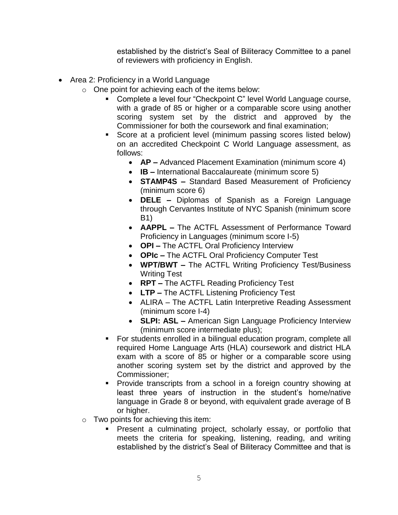established by the district's Seal of Biliteracy Committee to a panel of reviewers with proficiency in English.

- Area 2: Proficiency in a World Language
	- o One point for achieving each of the items below:
		- Complete a level four "Checkpoint C" level World Language course, with a grade of 85 or higher or a comparable score using another scoring system set by the district and approved by the Commissioner for both the coursework and final examination;
		- Score at a proficient level (minimum passing scores listed below) on an accredited Checkpoint C World Language assessment, as follows:
			- **AP –** Advanced Placement Examination (minimum score 4)
			- **IB –** International Baccalaureate (minimum score 5)
			- **STAMP4S –** Standard Based Measurement of Proficiency (minimum score 6)
			- **DELE –** Diplomas of Spanish as a Foreign Language through Cervantes Institute of NYC Spanish (minimum score B1)
			- **AAPPL –** The ACTFL Assessment of Performance Toward Proficiency in Languages (minimum score I-5)
			- **OPI –** The ACTFL Oral Proficiency Interview
			- **OPIc –** The ACTFL Oral Proficiency Computer Test
			- **WPT/BWT –** The ACTFL Writing Proficiency Test/Business Writing Test
			- **RPT –** The ACTFL Reading Proficiency Test
			- **LTP –** The ACTFL Listening Proficiency Test
			- ALIRA The ACTFL Latin Interpretive Reading Assessment (minimum score I-4)
			- **SLPI: ASL –** American Sign Language Proficiency Interview (minimum score intermediate plus);
		- **For students enrolled in a bilingual education program, complete all** required Home Language Arts (HLA) coursework and district HLA exam with a score of 85 or higher or a comparable score using another scoring system set by the district and approved by the Commissioner;
		- **Provide transcripts from a school in a foreign country showing at** least three years of instruction in the student's home/native language in Grade 8 or beyond, with equivalent grade average of B or higher.
	- $\circ$  Two points for achieving this item:
		- **Present a culminating project, scholarly essay, or portfolio that** meets the criteria for speaking, listening, reading, and writing established by the district's Seal of Biliteracy Committee and that is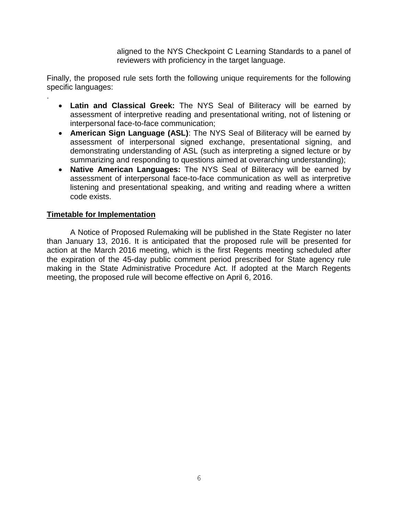aligned to the NYS Checkpoint C Learning Standards to a panel of reviewers with proficiency in the target language.

Finally, the proposed rule sets forth the following unique requirements for the following specific languages:

- **Latin and Classical Greek:** The NYS Seal of Biliteracy will be earned by assessment of interpretive reading and presentational writing, not of listening or interpersonal face-to-face communication;
- **American Sign Language (ASL)**: The NYS Seal of Biliteracy will be earned by assessment of interpersonal signed exchange, presentational signing, and demonstrating understanding of ASL (such as interpreting a signed lecture or by summarizing and responding to questions aimed at overarching understanding);
- **Native American Languages:** The NYS Seal of Biliteracy will be earned by assessment of interpersonal face-to-face communication as well as interpretive listening and presentational speaking, and writing and reading where a written code exists.

## **Timetable for Implementation**

.

A Notice of Proposed Rulemaking will be published in the State Register no later than January 13, 2016. It is anticipated that the proposed rule will be presented for action at the March 2016 meeting, which is the first Regents meeting scheduled after the expiration of the 45-day public comment period prescribed for State agency rule making in the State Administrative Procedure Act. If adopted at the March Regents meeting, the proposed rule will become effective on April 6, 2016.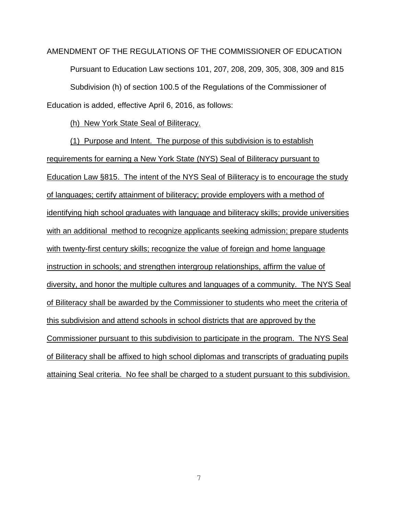AMENDMENT OF THE REGULATIONS OF THE COMMISSIONER OF EDUCATION Pursuant to Education Law sections 101, 207, 208, 209, 305, 308, 309 and 815 Subdivision (h) of section 100.5 of the Regulations of the Commissioner of Education is added, effective April 6, 2016, as follows:

(h) New York State Seal of Biliteracy.

(1) Purpose and Intent. The purpose of this subdivision is to establish requirements for earning a New York State (NYS) Seal of Biliteracy pursuant to Education Law §815. The intent of the NYS Seal of Biliteracy is to encourage the study of languages; certify attainment of biliteracy; provide employers with a method of identifying high school graduates with language and biliteracy skills; provide universities with an additional method to recognize applicants seeking admission; prepare students with twenty-first century skills; recognize the value of foreign and home language instruction in schools; and strengthen intergroup relationships, affirm the value of diversity, and honor the multiple cultures and languages of a community. The NYS Seal of Biliteracy shall be awarded by the Commissioner to students who meet the criteria of this subdivision and attend schools in school districts that are approved by the Commissioner pursuant to this subdivision to participate in the program. The NYS Seal of Biliteracy shall be affixed to high school diplomas and transcripts of graduating pupils attaining Seal criteria. No fee shall be charged to a student pursuant to this subdivision.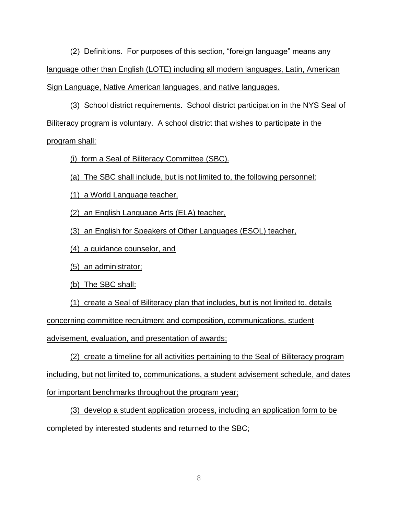(2) Definitions. For purposes of this section, "foreign language" means any language other than English (LOTE) including all modern languages, Latin, American Sign Language, Native American languages, and native languages.

(3) School district requirements. School district participation in the NYS Seal of Biliteracy program is voluntary. A school district that wishes to participate in the

## program shall:

(i) form a Seal of Biliteracy Committee (SBC).

(a) The SBC shall include, but is not limited to, the following personnel:

(1) a World Language teacher,

(2) an English Language Arts (ELA) teacher,

(3) an English for Speakers of Other Languages (ESOL) teacher,

(4) a guidance counselor, and

(5) an administrator;

(b) The SBC shall:

(1) create a Seal of Biliteracy plan that includes, but is not limited to, details

concerning committee recruitment and composition, communications, student

advisement, evaluation, and presentation of awards;

(2) create a timeline for all activities pertaining to the Seal of Biliteracy program including, but not limited to, communications, a student advisement schedule, and dates for important benchmarks throughout the program year;

(3) develop a student application process, including an application form to be completed by interested students and returned to the SBC;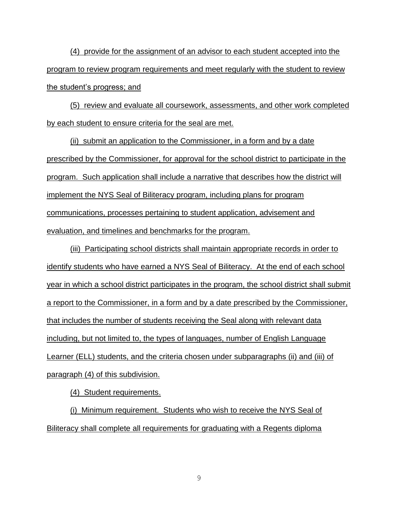(4) provide for the assignment of an advisor to each student accepted into the program to review program requirements and meet regularly with the student to review the student's progress; and

(5) review and evaluate all coursework, assessments, and other work completed by each student to ensure criteria for the seal are met.

(ii) submit an application to the Commissioner, in a form and by a date prescribed by the Commissioner, for approval for the school district to participate in the program. Such application shall include a narrative that describes how the district will implement the NYS Seal of Biliteracy program, including plans for program communications, processes pertaining to student application, advisement and evaluation, and timelines and benchmarks for the program.

(iii) Participating school districts shall maintain appropriate records in order to identify students who have earned a NYS Seal of Biliteracy. At the end of each school year in which a school district participates in the program, the school district shall submit a report to the Commissioner, in a form and by a date prescribed by the Commissioner, that includes the number of students receiving the Seal along with relevant data including, but not limited to, the types of languages, number of English Language Learner (ELL) students, and the criteria chosen under subparagraphs (ii) and (iii) of paragraph (4) of this subdivision.

(4) Student requirements.

(i) Minimum requirement. Students who wish to receive the NYS Seal of Biliteracy shall complete all requirements for graduating with a Regents diploma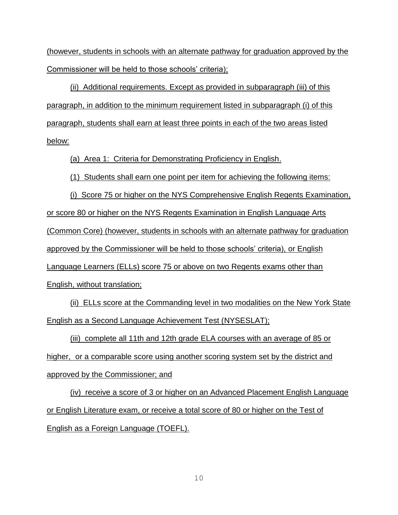(however, students in schools with an alternate pathway for graduation approved by the Commissioner will be held to those schools' criteria);

(ii) Additional requirements. Except as provided in subparagraph (iii) of this paragraph, in addition to the minimum requirement listed in subparagraph (i) of this paragraph, students shall earn at least three points in each of the two areas listed below:

(a) Area 1: Criteria for Demonstrating Proficiency in English.

(1) Students shall earn one point per item for achieving the following items:

(i) Score 75 or higher on the NYS Comprehensive English Regents Examination, or score 80 or higher on the NYS Regents Examination in English Language Arts (Common Core) (however, students in schools with an alternate pathway for graduation approved by the Commissioner will be held to those schools' criteria), or English Language Learners (ELLs) score 75 or above on two Regents exams other than English, without translation;

(ii) ELLs score at the Commanding level in two modalities on the New York State English as a Second Language Achievement Test (NYSESLAT);

(iii) complete all 11th and 12th grade ELA courses with an average of 85 or higher, or a comparable score using another scoring system set by the district and approved by the Commissioner; and

(iv) receive a score of 3 or higher on an Advanced Placement English Language or English Literature exam, or receive a total score of 80 or higher on the Test of English as a Foreign Language (TOEFL).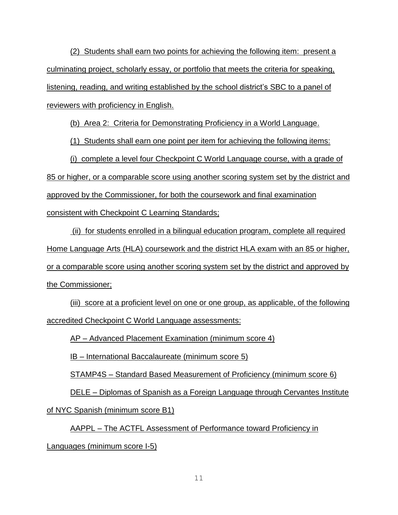(2) Students shall earn two points for achieving the following item: present a culminating project, scholarly essay, or portfolio that meets the criteria for speaking, listening, reading, and writing established by the school district's SBC to a panel of reviewers with proficiency in English.

(b) Area 2: Criteria for Demonstrating Proficiency in a World Language.

(1) Students shall earn one point per item for achieving the following items:

(i) complete a level four Checkpoint C World Language course, with a grade of 85 or higher, or a comparable score using another scoring system set by the district and approved by the Commissioner, for both the coursework and final examination consistent with Checkpoint C Learning Standards;

(ii) for students enrolled in a bilingual education program, complete all required Home Language Arts (HLA) coursework and the district HLA exam with an 85 or higher, or a comparable score using another scoring system set by the district and approved by the Commissioner;

(iii) score at a proficient level on one or one group, as applicable, of the following accredited Checkpoint C World Language assessments:

AP – Advanced Placement Examination (minimum score 4)

IB – International Baccalaureate (minimum score 5)

STAMP4S – Standard Based Measurement of Proficiency (minimum score 6)

DELE – Diplomas of Spanish as a Foreign Language through Cervantes Institute

of NYC Spanish (minimum score B1)

AAPPL – The ACTFL Assessment of Performance toward Proficiency in Languages (minimum score I-5)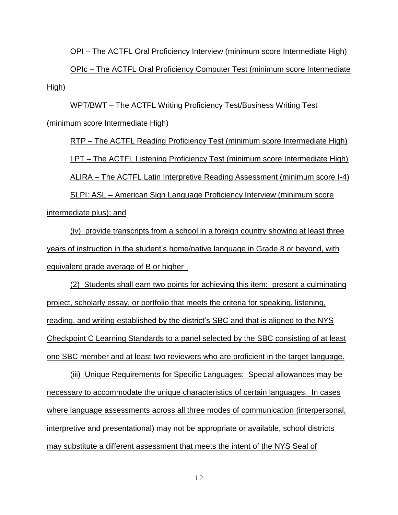OPI – The ACTFL Oral Proficiency Interview (minimum score Intermediate High)

OPIc – The ACTFL Oral Proficiency Computer Test (minimum score Intermediate High)

WPT/BWT – The ACTFL Writing Proficiency Test/Business Writing Test (minimum score Intermediate High)

RTP – The ACTFL Reading Proficiency Test (minimum score Intermediate High) LPT – The ACTFL Listening Proficiency Test (minimum score Intermediate High) ALIRA – The ACTFL Latin Interpretive Reading Assessment (minimum score I-4) SLPI: ASL – American Sign Language Proficiency Interview (minimum score

intermediate plus); and

(iv) provide transcripts from a school in a foreign country showing at least three years of instruction in the student's home/native language in Grade 8 or beyond, with equivalent grade average of B or higher .

(2) Students shall earn two points for achieving this item: present a culminating project, scholarly essay, or portfolio that meets the criteria for speaking, listening, reading, and writing established by the district's SBC and that is aligned to the NYS Checkpoint C Learning Standards to a panel selected by the SBC consisting of at least one SBC member and at least two reviewers who are proficient in the target language.

(iii) Unique Requirements for Specific Languages: Special allowances may be necessary to accommodate the unique characteristics of certain languages. In cases where language assessments across all three modes of communication (interpersonal, interpretive and presentational) may not be appropriate or available, school districts may substitute a different assessment that meets the intent of the NYS Seal of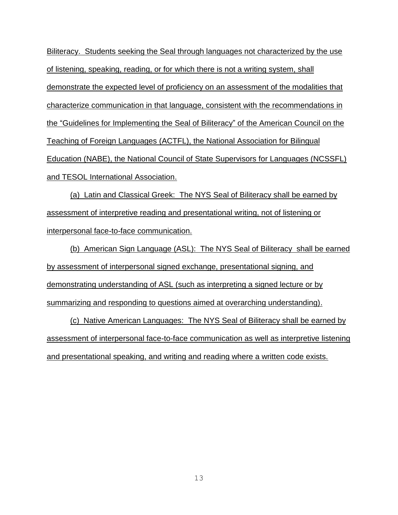Biliteracy. Students seeking the Seal through languages not characterized by the use of listening, speaking, reading, or for which there is not a writing system, shall demonstrate the expected level of proficiency on an assessment of the modalities that characterize communication in that language, consistent with the recommendations in the "Guidelines for Implementing the Seal of Biliteracy" of the American Council on the Teaching of Foreign Languages (ACTFL), the National Association for Bilingual Education (NABE), the National Council of State Supervisors for Languages (NCSSFL) and TESOL International Association.

(a) Latin and Classical Greek: The NYS Seal of Biliteracy shall be earned by assessment of interpretive reading and presentational writing, not of listening or interpersonal face-to-face communication.

(b) American Sign Language (ASL): The NYS Seal of Biliteracy shall be earned by assessment of interpersonal signed exchange, presentational signing, and demonstrating understanding of ASL (such as interpreting a signed lecture or by summarizing and responding to questions aimed at overarching understanding).

(c) Native American Languages: The NYS Seal of Biliteracy shall be earned by assessment of interpersonal face-to-face communication as well as interpretive listening and presentational speaking, and writing and reading where a written code exists.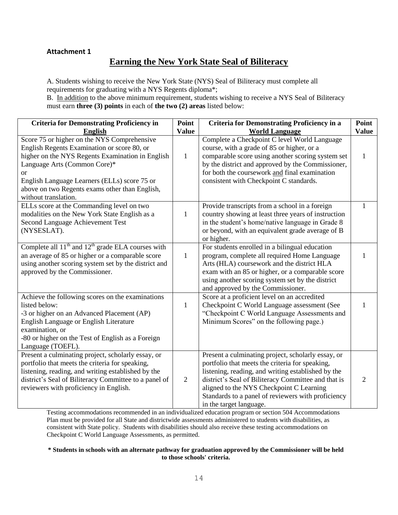### **Attachment 1**

# **Earning the New York State Seal of Biliteracy**

A. Students wishing to receive the New York State (NYS) Seal of Biliteracy must complete all requirements for graduating with a NYS Regents diploma\*;

B. In addition to the above minimum requirement, students wishing to receive a NYS Seal of Biliteracy must earn **three (3) points** in each of **the two (2) areas** listed below:

| <b>Criteria for Demonstrating Proficiency in</b>                                                                                                                                                                                                                                                               | Point          | <b>Criteria for Demonstrating Proficiency in a</b>                                                                                                                                                                                                                                                                                              | Point        |
|----------------------------------------------------------------------------------------------------------------------------------------------------------------------------------------------------------------------------------------------------------------------------------------------------------------|----------------|-------------------------------------------------------------------------------------------------------------------------------------------------------------------------------------------------------------------------------------------------------------------------------------------------------------------------------------------------|--------------|
| English                                                                                                                                                                                                                                                                                                        | <b>Value</b>   | <b>World Language</b>                                                                                                                                                                                                                                                                                                                           | <b>Value</b> |
| Score 75 or higher on the NYS Comprehensive<br>English Regents Examination or score 80, or<br>higher on the NYS Regents Examination in English<br>Language Arts (Common Core)*<br>or<br>English Language Learners (ELLs) score 75 or<br>above on two Regents exams other than English,<br>without translation. | $\mathbf{1}$   | Complete a Checkpoint C level World Language<br>course, with a grade of 85 or higher, or a<br>comparable score using another scoring system set<br>by the district and approved by the Commissioner,<br>for both the coursework and final examination<br>consistent with Checkpoint C standards.                                                | 1            |
| ELLs score at the Commanding level on two<br>modalities on the New York State English as a<br>Second Language Achievement Test<br>(NYSESLAT).                                                                                                                                                                  | $\mathbf{1}$   | Provide transcripts from a school in a foreign<br>country showing at least three years of instruction<br>in the student's home/native language in Grade 8<br>or beyond, with an equivalent grade average of B<br>or higher.                                                                                                                     | 1            |
| Complete all $11th$ and $12th$ grade ELA courses with<br>an average of 85 or higher or a comparable score<br>using another scoring system set by the district and<br>approved by the Commissioner.                                                                                                             | $\mathbf{1}$   | For students enrolled in a bilingual education<br>program, complete all required Home Language<br>Arts (HLA) coursework and the district HLA<br>exam with an 85 or higher, or a comparable score<br>using another scoring system set by the district<br>and approved by the Commissioner.                                                       |              |
| Achieve the following scores on the examinations<br>listed below:<br>-3 or higher on an Advanced Placement (AP)<br>English Language or English Literature<br>examination, or<br>-80 or higher on the Test of English as a Foreign<br>Language (TOEFL).                                                         | 1              | Score at a proficient level on an accredited<br>Checkpoint C World Language assessment (See<br>"Checkpoint C World Language Assessments and<br>Minimum Scores" on the following page.)                                                                                                                                                          | 1            |
| Present a culminating project, scholarly essay, or<br>portfolio that meets the criteria for speaking,<br>listening, reading, and writing established by the<br>district's Seal of Biliteracy Committee to a panel of<br>reviewers with proficiency in English.                                                 | $\overline{2}$ | Present a culminating project, scholarly essay, or<br>portfolio that meets the criteria for speaking,<br>listening, reading, and writing established by the<br>district's Seal of Biliteracy Committee and that is<br>aligned to the NYS Checkpoint C Learning<br>Standards to a panel of reviewers with proficiency<br>in the target language. | 2            |

Testing accommodations recommended in an individualized education program or section 504 Accommodations Plan must be provided for all State and districtwide assessments administered to students with disabilities, as consistent with State policy. Students with disabilities should also receive these testing accommodations on Checkpoint C World Language Assessments, as permitted.

#### **\* Students in schools with an alternate pathway for graduation approved by the Commissioner will be held to those schools' criteria.**